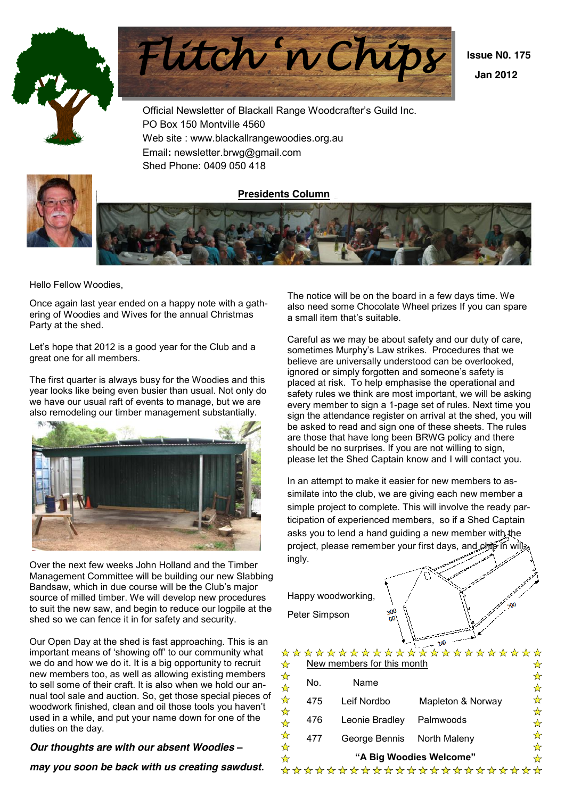



Official Newsletter of Blackall Range Woodcrafter's Guild Inc. PO Box 150 Montville 4560 Web site : www.blackallrangewoodies.org.au Email**:** newsletter.brwg@gmail.com



Shed Phone: 0409 050 418 **Presidents Column**

Hello Fellow Woodies,

Once again last year ended on a happy note with a gathering of Woodies and Wives for the annual Christmas Party at the shed.

Let's hope that 2012 is a good year for the Club and a great one for all members.

The first quarter is always busy for the Woodies and this year looks like being even busier than usual. Not only do we have our usual raft of events to manage, but we are also remodeling our timber management substantially.



Over the next few weeks John Holland and the Timber Management Committee will be building our new Slabbing Bandsaw, which in due course will be the Club's major source of milled timber. We will develop new procedures to suit the new saw, and begin to reduce our logpile at the shed so we can fence it in for safety and security.

Our Open Day at the shed is fast approaching. This is an important means of 'showing off' to our community what we do and how we do it. It is a big opportunity to recruit new members too, as well as allowing existing members to sell some of their craft. It is also when we hold our annual tool sale and auction. So, get those special pieces of woodwork finished, clean and oil those tools you haven't used in a while, and put your name down for one of the duties on the day.

#### *Our thoughts are with our absent Woodies ±*

*may you soon be back with us creating sawdust.*

The notice will be on the board in a few days time. We also need some Chocolate Wheel prizes If you can spare a small item that's suitable.

Careful as we may be about safety and our duty of care, sometimes Murphy's Law strikes. Procedures that we believe are universally understood can be overlooked, ignored or simply forgotten and someone's safety is placed at risk. To help emphasise the operational and safety rules we think are most important, we will be asking every member to sign a 1-page set of rules. Next time you sign the attendance register on arrival at the shed, you will be asked to read and sign one of these sheets. The rules are those that have long been BRWG policy and there should be no surprises. If you are not willing to sign, please let the Shed Captain know and I will contact you.

In an attempt to make it easier for new members to assimilate into the club, we are giving each new member a simple project to complete. This will involve the ready participation of experienced members, so if a Shed Captain asks you to lend a hand guiding a new member with the project, please remember your first days, and chip in will ingly.

Happy woodworking, Peter Simpson

|                           |     |                            | *********************** |        |
|---------------------------|-----|----------------------------|-------------------------|--------|
| D                         |     | New members for this month |                         |        |
| ☆<br>$\frac{1}{\sqrt{2}}$ | No. | Name                       |                         | ☆      |
| ☆                         | 475 | Leif Nordbo                | Mapleton & Norway       | ☆      |
| ☆<br>☆                    | 476 | Leonie Bradley             | Palmwoods               | ☆<br>☆ |
| ☆<br>☆                    | 477 | George Bennis              | North Maleny            |        |
| ☆                         |     |                            | "A Big Woodies Welcome" |        |
|                           |     |                            | *********************   |        |

 $\gamma$ <sub>A</sub>O

 $500$ 

 **Issue N0. 175 Jan 2012**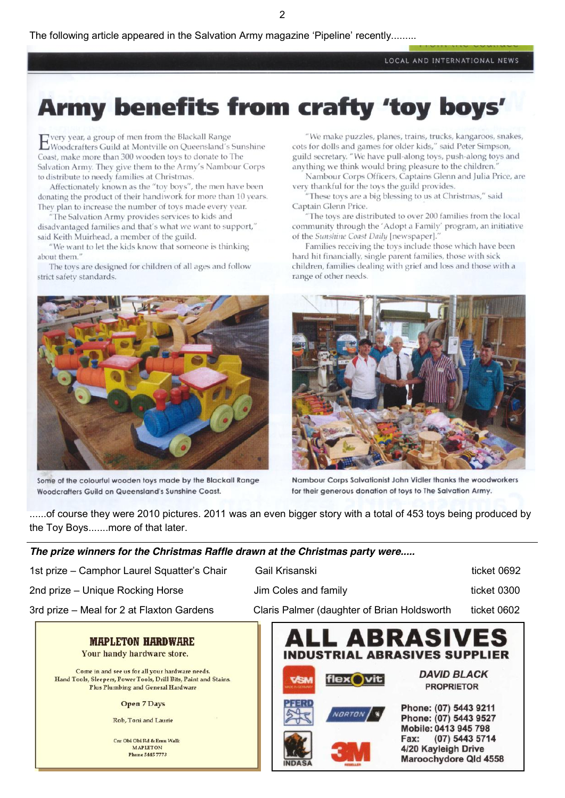LOCAL AND INTERNATIONAL NEWS

# Army benefits from crafty 'toy boys'

very year, a group of men from the Blackall Range E very year, a group of their fight and successiand's Sunshine Coast, make more than 300 wooden toys to donate to The Salvation Army. They give them to the Army's Nambour Corps to distribute to needy families at Christmas.

Affectionately known as the "toy boys", the men have been donating the product of their handiwork for more than 10 years. They plan to increase the number of toys made every year.

"The Salvation Army provides services to kids and disadvantaged families and that's what we want to support," said Keith Muirhead, a member of the guild.

"We want to let the kids know that someone is thinking about them."

The toys are designed for children of all ages and follow strict safety standards.



Some of the colourful wooden toys made by the Blackall Range Woodcrafters Guild on Queensland's Sunshine Coast

"We make puzzles, planes, trains, trucks, kangaroos, snakes, cots for dolls and games for older kids," said Peter Simpson, guild secretary. "We have pull-along toys, push-along toys and anything we think would bring pleasure to the children."

Nambour Corps Officers, Captains Glenn and Julia Price, are very thankful for the toys the guild provides.

"These toys are a big blessing to us at Christmas," said Captain Glenn Price.

"The toys are distributed to over 200 families from the local community through the 'Adopt a Family' program, an initiative of the Sunshine Coast Daily [newspaper]."

Families receiving the toys include those which have been hard hit financially, single parent families, those with sick children, families dealing with grief and loss and those with a range of other needs.



Nambour Corps Salvationist John Vidler thanks the woodworkers for their generous donation of toys to The Salvation Army.

......of course they were 2010 pictures. 2011 was an even bigger story with a total of 453 toys being produced by the Toy Boys.......more of that later.

# The prize winners for the Christmas Raffle drawn at the Christmas party were.....

|                                             | <b>ALL ADDACIVES</b>                        |             |
|---------------------------------------------|---------------------------------------------|-------------|
| 3rd prize - Meal for 2 at Flaxton Gardens   | Claris Palmer (daughter of Brian Holdsworth | ticket 0602 |
| 2nd prize – Unique Rocking Horse            | Jim Coles and family                        | ticket 0300 |
| 1st prize - Camphor Laurel Squatter's Chair | Gail Krisanski                              | ticket 0692 |

#### **MAPLETON HARDWARE** Your handy hardware store.

Come in and see us for all your hardware needs. Hand Tools, Sleepers, Power Tools, Drill Bits, Paint and Stains.

Plus Plumbing and General Hardware

**Open 7 Days** 

Rob, Toni and Laurie

Cnr Obi Obi Rd & Emu Walk **MAPLETON Phone 5445 7773** 

L ADRAƏIVEƏ **INDUSTRIAL ABRASIVES SUPPLIER** 





**NDA** 







Phone: (07) 5443 9211 Phone: (07) 5443 9527 Mobile: 0413 945 798 (07) 5443 5714 Fax:

4/20 Kayleigh Drive

Maroochydore Qld 4558

**DAVID BLACK** 

**PROPRIETOR** 

 $\overline{2}$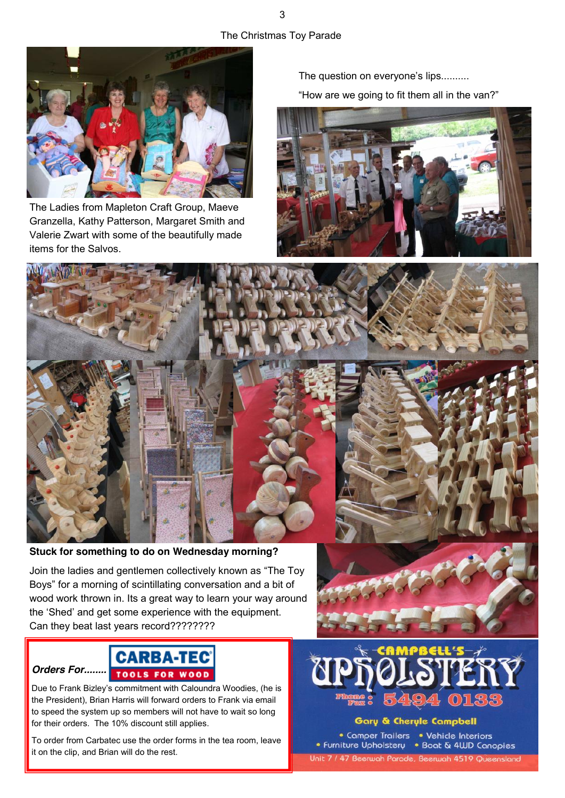# The Christmas Toy Parade



The Ladies from Mapleton Craft Group, Maeve Granzella, Kathy Patterson, Margaret Smith and Valerie Zwart with some of the beautifully made items for the Salvos.

The question on everyone's lips.......... "How are we going to fit them all in the van?"



**Stuck for something to do on Wednesday morning?**

Join the ladies and gentlemen collectively known as "The Toy" Boys" for a morning of scintillating conversation and a bit of wood work thrown in. Its a great way to learn your way around the 'Shed' and get some experience with the equipment. Can they beat last years record????????

# **CARBA-TEC TOOLS FOR WOOD**

*Orders For........*

Due to Frank Bizley's commitment with Caloundra Woodies, (he is the President), Brian Harris will forward orders to Frank via email to speed the system up so members will not have to wait so long for their orders. The 10% discount still applies.

To order from Carbatec use the order forms in the tea room, leave it on the clip, and Brian will do the rest.



Gary & Cheryle Campbell

• Comper Trailers • Vehicle Interiors • Furniture Upholstery • Boat & 4UD Canopies Unit 7 / 47 Beerwah Parade, Beerwah 4519 Queensland

3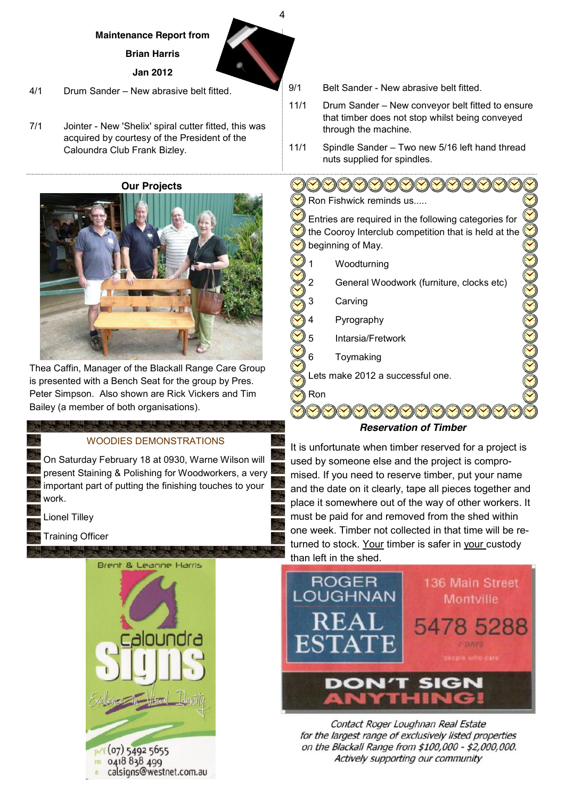#### **Maintenance Report from**

**Brian Harris**

**Jan 2012**

- 4/1 Drum Sander New abrasive belt fitted.
- 7/1 Jointer New 'Shelix' spiral cutter fitted, this was acquired by courtesy of the President of the Caloundra Club Frank Bizley.

**Our Projects**



Thea Caffin, Manager of the Blackall Range Care Group is presented with a Bench Seat for the group by Pres. Peter Simpson. Also shown are Rick Vickers and Tim Bailey (a member of both organisations).

# WOODIES DEMONSTRATIONS

On Saturday February 18 at 0930, Warne Wilson will present Staining & Polishing for Woodworkers, a very important part of putting the finishing touches to your work.

Lionel Tilley

Training Officer



- 9/1 Belt Sander New abrasive belt fitted.
- 11/1 Drum Sander New conveyor belt fitted to ensure that timber does not stop whilst being conveyed through the machine.
- 11/1 Spindle Sander Two new 5/16 left hand thread nuts supplied for spindles.

<u>OOOOOOOOO</u> Ron Fishwick reminds us... Entries are required in the following categories for the Cooroy Interclub competition that is held at the beginning of May.

- Woodturning
- General Woodwork (furniture, clocks etc)
- Carving

4

- **Pyrography**
- 5 Intarsia/Fretwork
- **Toymaking**

Lets make 2012 a successful one.

Ron



*Reservation of Timber*

It is unfortunate when timber reserved for a project is used by someone else and the project is compromised. If you need to reserve timber, put your name and the date on it clearly, tape all pieces together and place it somewhere out of the way of other workers. It must be paid for and removed from the shed within one week. Timber not collected in that time will be returned to stock. Your timber is safer in your custody than left in the shed.



Contact Roger Loughnan Real Estate for the largest range of exclusively listed properties on the Blackall Range from \$100,000 - \$2,000,000. Actively supporting our community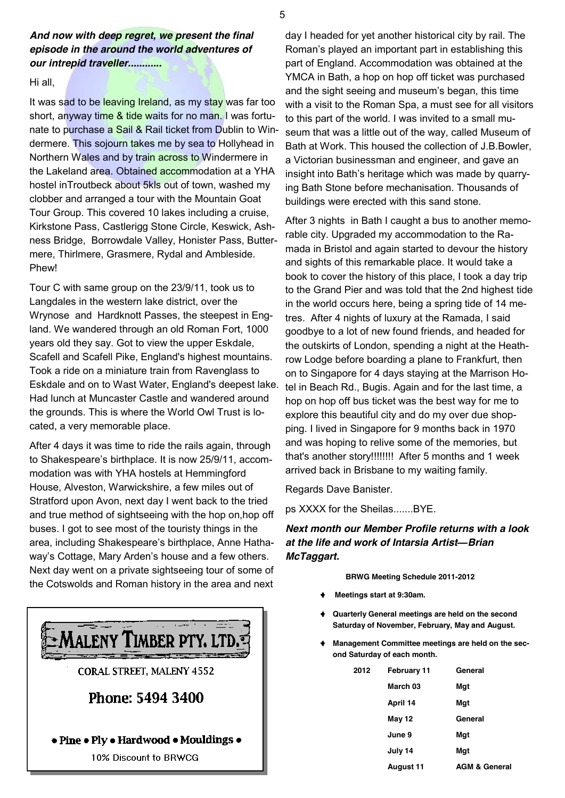# *And now with deep regret, we present the final episode in the around the world adventures of our intrepid traveller............*

#### Hi all,

It was sad to be leaving Ireland, as my stay was far too short, anyway time & tide waits for no man. I was fortunate to purchase a Sail & Rail ticket from Dublin to Windermere. This sojourn takes me by sea to Hollyhead in Northern Wales and by train across to Windermere in the Lakeland area. Obtained accommodation at a YHA hostel inTroutbeck about 5kls out of town, washed my clobber and arranged a tour with the Mountain Goat Tour Group. This covered 10 lakes including a cruise, Kirkstone Pass, Castlerigg Stone Circle, Keswick, Ashness Bridge, Borrowdale Valley, Honister Pass, Buttermere, Thirlmere, Grasmere, Rydal and Ambleside. Phew!

Tour C with same group on the 23/9/11, took us to Langdales in the western lake district, over the Wrynose and Hardknott Passes, the steepest in England. We wandered through an old Roman Fort, 1000 years old they say. Got to view the upper Eskdale, Scafell and Scafell Pike, England's highest mountains. Took a ride on a miniature train from Ravenglass to Eskdale and on to Wast Water, England's deepest lake. Had lunch at Muncaster Castle and wandered around the grounds. This is where the World Owl Trust is located, a very memorable place.

After 4 days it was time to ride the rails again, through to Shakespeare's birthplace. It is now 25/9/11, accommodation was with YHA hostels at Hemmingford House, Alveston, Warwickshire, a few miles out of Stratford upon Avon, next day I went back to the tried and true method of sightseeing with the hop on,hop off buses. I got to see most of the touristy things in the area, including Shakespeare's birthplace, Anne Hathaway's Cottage, Mary Arden's house and a few others. Next day went on a private sightseeing tour of some of the Cotswolds and Roman history in the area and next



day I headed for yet another historical city by rail. The Roman's played an important part in establishing this part of England. Accommodation was obtained at the YMCA in Bath, a hop on hop off ticket was purchased and the sight seeing and museum's began, this time with a visit to the Roman Spa, a must see for all visitors to this part of the world. I was invited to a small museum that was a little out of the way, called Museum of Bath at Work. This housed the collection of J.B.Bowler, a Victorian businessman and engineer, and gave an insight into Bath's heritage which was made by quarrying Bath Stone before mechanisation. Thousands of buildings were erected with this sand stone.

After 3 nights in Bath I caught a bus to another memorable city. Upgraded my accommodation to the Ramada in Bristol and again started to devour the history and sights of this remarkable place. It would take a book to cover the history of this place, I took a day trip to the Grand Pier and was told that the 2nd highest tide in the world occurs here, being a spring tide of 14 metres. After 4 nights of luxury at the Ramada, I said goodbye to a lot of new found friends, and headed for the outskirts of London, spending a night at the Heathrow Lodge before boarding a plane to Frankfurt, then on to Singapore for 4 days staying at the Marrison Hotel in Beach Rd., Bugis. Again and for the last time, a hop on hop off bus ticket was the best way for me to explore this beautiful city and do my over due shopping. I lived in Singapore for 9 months back in 1970 and was hoping to relive some of the memories, but that's another story!!!!!!!! After 5 months and 1 week arrived back in Brisbane to my waiting family.

Regards Dave Banister.

ps XXXX for the Sheilas.......BYE.

# *Next month our Member Profile returns with a look at the life and work of Intarsia Artist-Brian McTaggart.*

**BRWG Meeting Schedule 2011-2012**

- **Meetings start at 9:30am.**
- **Quarterly General meetings are held on the second Saturday of November, February, May and August.**
- **Management Committee meetings are held on the second Saturday of each month.**

| 2012 | <b>February 11</b> | General                  |  |  |
|------|--------------------|--------------------------|--|--|
|      | March 03           | Mqt                      |  |  |
|      | April 14           | Mqt                      |  |  |
|      | <b>May 12</b>      | General                  |  |  |
|      | June 9             | Mqt                      |  |  |
|      | July 14            | Mqt                      |  |  |
|      | August 11          | <b>AGM &amp; General</b> |  |  |